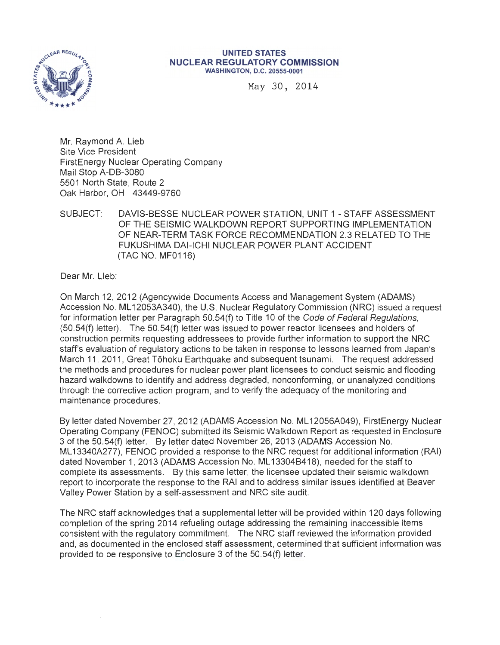

#### **UNITED STATES NUCLEAR REGULATORY COMMISSION**  WASHINGTON, D.C. 20555-0001

May 30, 2014

Mr. Raymond A. Lieb Site Vice President FirstEnergy Nuclear Operating Company Mail Stop A-DB-3080 5501 North State, Route 2 Oak Harbor, OH 43449-9760

SUBJECT: DAVIS-BESSE NUCLEAR POWER STATION, UNIT 1 -STAFF ASSESSMENT OF THE SEISMIC WALKDOWN REPORT SUPPORTING IMPLEMENTATION OF NEAR-TERM TASK FORCE RECOMMENDATION 2.3 RELATED TO THE FUKUSHIMA DAI-ICHI NUCLEAR POWER PLANT ACCIDENT (TAC NO. MF0116)

Dear Mr. Lleb:

On March 12, 2012 (Agencywide Documents Access and Management System (ADAMS) Accession No. ML 12053A340), the U.S. Nuclear Regulatory Commission (NRC) issued a request for information letter per Paragraph 50.54(f) to Title 10 of the Code of Federal Regulations, (50.54(f) letter). The 50.54(f) letter was issued to power reactor licensees and holders of construction permits requesting addressees to provide further information to support the NRC staff's evaluation of regulatory actions to be taken in response to lessons learned from Japan's March 11 , 2011, Great Tohoku Earthquake and subsequent tsunami. The request addressed the methods and procedures for nuclear power plant licensees to conduct seismic and flooding hazard walkdowns to identify and address degraded, nonconforming, or unanalyzed conditions through the corrective action program, and to verify the adequacy of the monitoring and maintenance procedures.

By letter dated November 27, 2012 (ADAMS Accession No. ML 12056A049), FirstEnergy Nuclear Operating Company (FENOC) submitted its Seismic Walkdown Report as requested in Enclosure 3 of the 50.54(f) letter. By letter dated November 26, 2013 (ADAMS Accession No. ML 13340A277), FENOC provided a response to the NRC request for additional information (RAI) dated November 1, 2013 (ADAMS Accession No. ML 13304B418), needed for the staff to complete its assessments. By this same letter, the licensee updated their seismic walkdown report to incorporate the response to the RAI and to address similar issues identified at Beaver Valley Power Station by a self-assessment and NRC site audit.

The NRC staff acknowledges that a supplemental letter will be provided within 120 days following completion of the spring 2014 refueling outage addressing the remaining inaccessible items consistent with the regulatory commitment. The NRC staff reviewed the information provided and, as documented in the enclosed staff assessment, determined that sufficient information was provided to be responsive to Enclosure 3 of the 50.54(f) letter.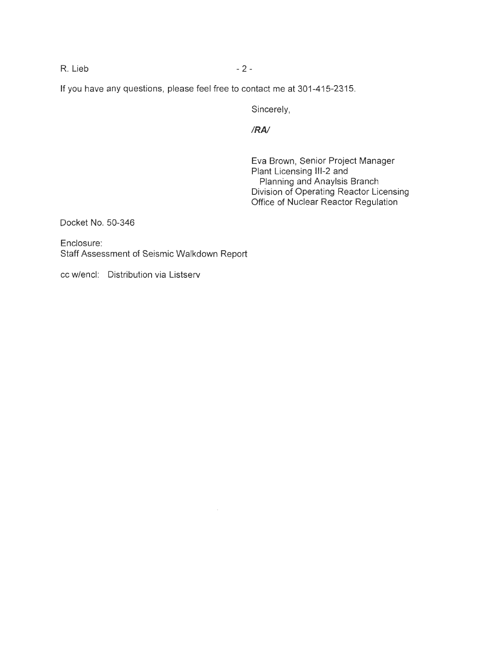R. Lieb - 2 -

If you have any questions, please feel free to contact me at 301-415-2315.

Sincerely,

# *IRA/*

Eva Brown, Senior Project Manager Plant Licensing 111-2 and Planning and Anaylsis Branch Division of Operating Reactor Licensing Office of Nuclear Reactor Regulation

Docket No. 50-346

Enclosure: Staff Assessment of Seismic Walkdown Report

cc w/encl: Distribution via Listserv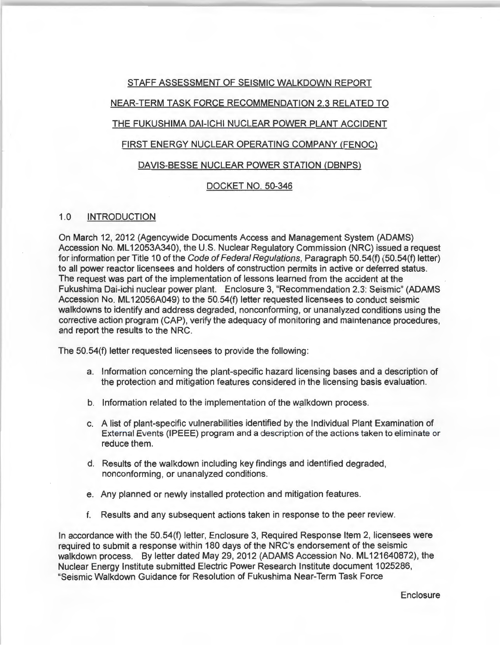# STAFF ASSESSMENT OF SEISMIC WALKDOWN REPORT NEAR-TERM TASK FORCE RECOMMENDATION 2.3 RELATED TO THE FUKUSHIMA DAI-ICHI NUCLEAR POWER PLANT ACCIDENT FIRST ENERGY NUCLEAR OPERATING COMPANY (FENOC) DAVIS-BESSE NUCLEAR POWER STATION (DBNPS)

# DOCKET NO. 50-346

## 1.0 INTRODUCTION

On March 12, 2012 (Agencywide Documents Access and Management System (ADAMS) Accession No. ML12053A340), the U.S. Nuclear Regulatory Commission (NRC) issued a request for information per Title 10 of the Code of Federal Regulations, Paragraph 50.54(f) (50.54(f) letter) to all power reactor licensees and holders of construction permits in active or deferred status. The request was part of the implementation of lessons learned from the accident at the Fukushima Dai-ichi nuclear power plant. Enclosure 3, "Recommendation 2.3: Seismic" (ADAMS Accession No. ML 12056A049) to the 50.54(f) letter requested licensees to conduct seismic walkdowns to identify and address degraded, nonconforming, or unanalyzed conditions using the corrective action program (CAP), verify the adequacy of monitoring and maintenance procedures, and report the results to the NRC.

The 50.54(f) letter requested licensees to provide the following :

- a. Information concerning the plant-specific hazard licensing bases and a description of the protection and mitigation features considered in the licensing basis evaluation.
- b. Information related to the implementation of the w\_alkdown process.
- c. A list of plant-specific vulnerabilities identified by the Individual Plant Examination of External Events (IPEEE) program and a description of the actions taken to eliminate or reduce them.
- d. Results of the walkdown including key findings and identified degraded, nonconforming, or unanalyzed conditions.
- e. Any planned or newly installed protection and mitigation features.
- f. Results and any subsequent actions taken in response to the peer review.

In accordance with the 50.54(f) letter, Enclosure 3, Required Response Item 2, licensees were required to submit a response within 180 days of the NRC's endorsement of the seismic walkdown process. By letter dated May 29, 2012 (ADAMS Accession No. ML121640872), the Nuclear Energy Institute submitted Electric Power Research Institute document 1025286, "Seismic Walkdown Guidance for Resolution of Fukushima Near-Term Task Force

**Enclosure**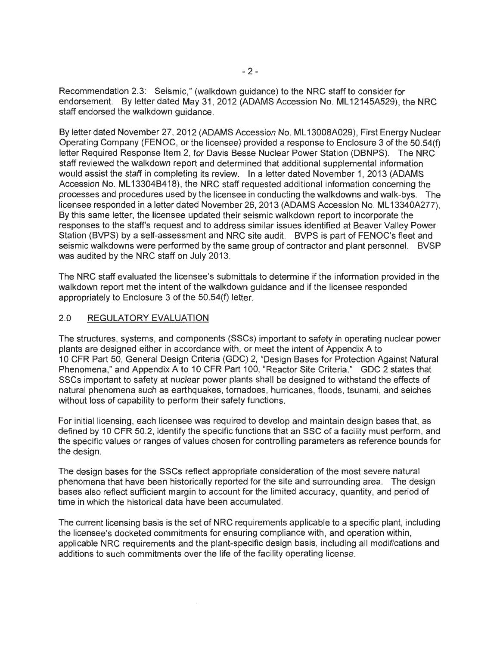Recommendation 2.3: Seismic," (walkdown guidance) to the NRC staff to consider for endorsement. By letter dated May 31, 2012 (ADAMS Accession No. ML 12145A529), the NRC staff endorsed the walkdown guidance.

By letter dated November 27, 2012 (ADAMS Accession No. ML 13008A029), First Energy Nuclear Operating Company (FENOC, or the licensee) provided a response to Enclosure 3 of the 50.54(f) letter Required Response Item 2, for Davis Besse Nuclear Power Station (DBNPS). The NRC staff reviewed the walkdown report and determined that additional supplemental information would assist the staff in completing its review. In a letter dated November 1, 2013 (ADAMS Accession No. ML 13304B418), the NRC staff requested additional information concerning the processes and procedures used by the licensee in conducting the walkdowns and walk-bys. The licensee responded in a letter dated November 26, 2013 (ADAMS Accession No. ML13340A277). By this same letter, the licensee updated their seismic walkdown report to incorporate the responses to the staff's request and to address similar issues identified at Beaver Valley Power Station (BVPS) by a self-assessment and NRC site audit. BVPS is part of FENOC's fleet and seismic walkdowns were performed by the same group of contractor and plant personnel. BVSP was audited by the NRC staff on July 2013.

The NRC staff evaluated the licensee's submittals to determine if the information provided in the walkdown report met the intent of the walkdown guidance and if the licensee responded appropriately to Enclosure 3 of the 50.54(f) letter.

# 2.0 REGULATORY EVALUATION

The structures, systems, and components (SSCs) important to safety in operating nuclear power plants are designed either in accordance with, or meet the intent of Appendix A to 10 CFR Part 50, General Design Criteria (GDC) 2, "Design Bases for Protection Against Natural Phenomena," and Appendix A to 10 CFR Part 100, "Reactor Site Criteria." GDC 2 states that SSCs important to safety at nuclear power plants shall be designed to withstand the effects of natural phenomena such as earthquakes, tornadoes, hurricanes, floods, tsunami, and seiches without loss of capability to perform their safety functions.

For initial licensing, each licensee was required to develop and maintain design bases that, as defined by 10 CFR 50.2, identify the specific functions that an SSC of a facility must perform, and the specific values or ranges of values chosen for controlling parameters as reference bounds for the design.

The design bases for the SSCs reflect appropriate consideration of the most severe natural phenomena that have been historically reported for the site and surrounding area. The design bases also reflect sufficient margin to account for the limited accuracy, quantity, and period of time in which the historical data have been accumulated.

The current licensing basis is the set of NRC requirements applicable to a specific plant, including the licensee's docketed commitments for ensuring compliance with, and operation within, applicable NRC requirements and the plant-specific design basis, including all modifications and additions to such commitments over the life of the facility operating license.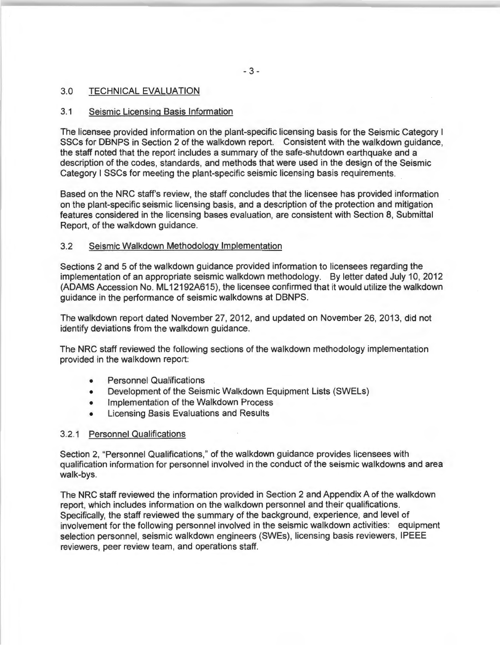# 3.0 TECHNICAL EVALUATION

#### 3.1 Seismic Licensing Basis Information

The licensee provided information on the plant-specific licensing basis for the Seismic Category I SSCs for DBNPS in Section 2 of the walkdown report. Consistent with the walkdown guidance, the staff noted that the report includes a summary of the safe-shutdown earthquake and a description of the codes, standards, and methods that were used in the design of the Seismic Category I SSCs for meeting the plant-specific seismic licensing basis requirements.

Based on the NRC staff's review, the staff concludes that the licensee has provided information on the plant-specific seismic licensing basis, and a description of the protection and mitigation features considered in the licensing bases evaluation, are consistent with Section 8, Submittal Report, of the walkdown guidance.

#### 3.2 Seismic Walkdown Methodology Implementation

Sections 2 and 5 of the walkdown guidance provided information to licensees regarding the implementation of an appropriate seismic walkdown methodology. By letter dated July 10, 2012 (ADAMS Accession No. ML 12192A615), the licensee confirmed that it would utilize the walkdown guidance in the performance of seismic walkdowns at DBNPS.

The walkdown report dated November 27, 2012, and updated on November 26, 2013, did not identify deviations from the walkdown guidance.

The NRC staff reviewed the following sections of the walkdown methodology implementation provided in the walkdown report:

- Personnel Qualifications
- Development of the Seismic Walkdown Equipment Lists (SWELs)
- Implementation of the Walkdown Process
- Licensing Basis Evaluations and Results

#### 3.2.1 Personnel Qualifications

Section 2, "Personnel Qualifications," of the walkdown guidance provides licensees with qualification information for personnel involved in the conduct of the seismic walkdowns and area walk-bys.

The NRC staff reviewed the information provided in Section 2 and Appendix A of the walkdown report, which includes information on the walkdown personnel and their qualifications. Specifically, the staff reviewed the summary of the background, experience, and level of involvement for the following personnel involved in the seismic walkdown activities: equipment selection personnel, seismic walkdown engineers (SWEs), licensing basis reviewers, IPEEE reviewers, peer review team, and operations staff.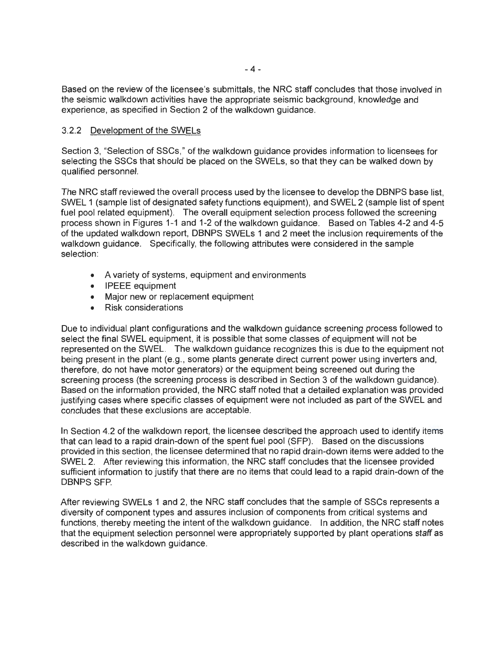Based on the review of the licensee's submittals, the NRC staff concludes that those involved in the seismic walkdown activities have the appropriate seismic background, knowledge and experience, as specified in Section 2 of the walkdown guidance.

# 3.2.2 Development of the SWELs

Section 3, "Selection of SSCs," of the walkdown guidance provides information to licensees for selecting the SSCs that should be placed on the SWELs, so that they can be walked down by qualified personnel.

The NRC staff reviewed the overall process used by the licensee to develop the DBNPS base list, SWEL 1 (sample list of designated safety functions equipment), and SWEL 2 (sample list of spent fuel pool related equipment). The overall equipment selection process followed the screening process shown in Figures 1-1 and 1-2 of the walkdown guidance. Based on Tables 4-2 and 4-5 of the updated walkdown report, DBNPS SWELs 1 and 2 meet the inclusion requirements of the walkdown guidance. Specifically, the following attributes were considered in the sample selection:

- A variety of systems, equipment and environments
- IPEEE equipment
- Major new or replacement equipment
- Risk considerations

Due to individual plant configurations and the walkdown guidance screening process followed to select the final SWEL equipment, it is possible that some classes of equipment will not be represented on the SWEL. The walkdown guidance recognizes this is due to the equipment not being present in the plant (e.g., some plants generate direct current power using inverters and, therefore, do not have motor generators) or the equipment being screened out during the screening process (the screening process is described in Section 3 of the walkdown guidance). Based on the information provided, the NRC staff noted that a detailed explanation was provided justifying cases where specific classes of equipment were not included as part of the SWEL and concludes that these exclusions are acceptable.

In Section 4.2 of the walkdown report, the licensee described the approach used to identify items that can lead to a rapid drain-down of the spent fuel pool (SFP). Based on the discussions provided in this section, the licensee determined that no rapid drain-down items were added to the SWEL 2. After reviewing this information, the NRC staff concludes that the licensee provided sufficient information to justify that there are no items that could lead to a rapid drain-down of the DBNPS SFP.

After reviewing SWELs 1 and 2, the NRC staff concludes that the sample of SSCs represents a diversity of component types and assures inclusion of components from critical systems and functions, thereby meeting the intent of the walkdown guidance. In addition, the NRC staff notes that the equipment selection personnel were appropriately supported by plant operations staff as described in the walkdown guidance.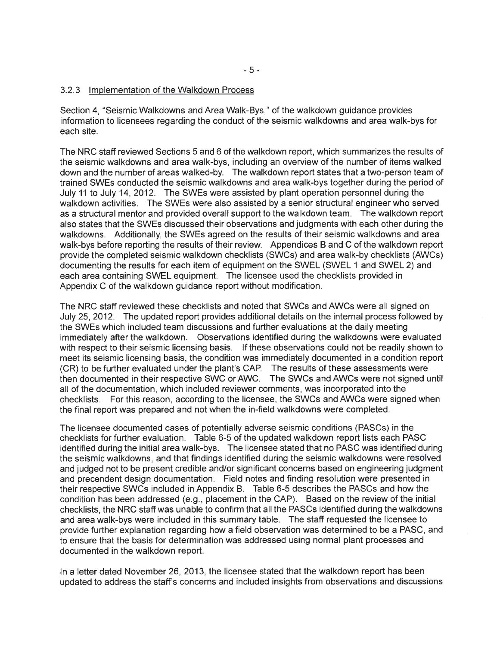## 3.2.3 Implementation of the Walkdown Process

Section 4, "Seismic Walkdowns and Area Walk-Bys," of the walkdown guidance provides information to licensees regarding the conduct of the seismic walkdowns and area walk-bys for each site.

The NRC staff reviewed Sections 5 and 6 of the walkdown report, which summarizes the results of the seismic walkdowns and area walk-bys, including an overview of the number of items walked down and the number of areas walked-by. The walkdown report states that a two-person team of trained SWEs conducted the seismic walkdowns and area walk-bys together during the period of July 11 to July 14, 2012. The SWEs were assisted by plant operation personnel during the walkdown activities. The SWEs were also assisted by a senior structural engineer who served as a structural mentor and provided overall support to the walkdown team. The walkdown report also states that the SWEs discussed their observations and judgments with each other during the walkdowns. Additionally, the SWEs agreed on the results of their seismic walkdowns and area walk-bys before reporting the results of their review. Appendices B and C of the walkdown report provide the completed seismic walkdown checklists (SWCs) and area walk-by checklists (AWCs) documenting the results for each item of equipment on the SWEL (SWEL 1 and SWEL 2) and each area containing SWEL equipment. The licensee used the checklists provided in Appendix C of the walkdown guidance report without modification.

The NRC staff reviewed these checklists and noted that SWCs and AWCs were all signed on July 25, 2012. The updated report provides additional details on the internal process followed by the SWEs which included team discussions and further evaluations at the daily meeting immediately after the walkdown. Observations identified during the walkdowns were evaluated with respect to their seismic licensing basis. If these observations could not be readily shown to meet its seismic licensing basis, the condition was immediately documented in a condition report (CR) to be further evaluated under the plant's CAP. The results of these assessments were then documented in their respective SWC or AWC. The SWCs and AWCs were not signed until all of the documentation, which included reviewer comments, was incorporated into the checklists. For this reason, according to the licensee, the SWCs and AWCs were signed when the final report was prepared and not when the in-field walkdowns were completed.

The licensee documented cases of potentially adverse seismic conditions (PASCs) in the checklists for further evaluation. Table 6-5 of the updated walkdown report lists each PASC identified during the initial area walk-bys. The licensee stated that no PASC was identified during the seismic walkdowns, and that findings identified during the seismic walkdowns were resolved and judged not to be present credible and/or significant concerns based on engineering judgment and precendent design documentation. Field notes and finding resolution were presented in their respective SWCs included in Appendix B. Table 6-5 describes the PASCs and how the condition has been addressed (e.g., placement in the CAP). Based on the review of the initial checklists, the NRC staff was unable to confirm that all the PASCs identified during the walkdowns and area walk-bys were included in this summary table. The staff requested the licensee to provide further explanation regarding how a field observation was determined to be a PASC, and to ensure that the basis for determination was addressed using normal plant processes and documented in the walkdown report.

In a letter dated November 26, 2013, the licensee stated that the walkdown report has been updated to address the staff's concerns and included insights from observations and discussions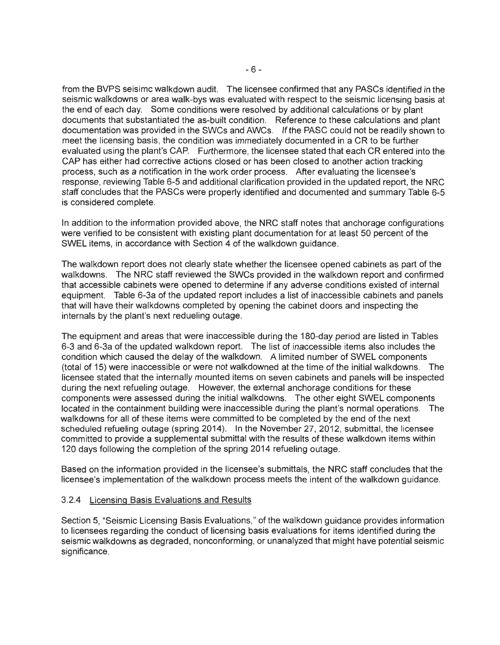from the BVPS seisimc walkdown audit. The licensee confirmed that any PASCs identified in the seismic walkdowns or area walk-bys was evaluated with respect to the seismic licensing basis at the end of each day. Some conditions were resolved by additional calculations or by plant documents that substantiated the as-built condition. Reference to these calculations and plant documentation was provided in the SWCs and AWCs. If the PASC could not be readily shown to meet the licensing basis, the condition was immediately documented in a CR to be further evaluated using the plant's CAP. Furthermore, the licensee stated that each CR entered into the CAP has either had corrective actions closed or has been closed to another action tracking process, such as a notification in the work order process. After evaluating the licensee's response, reviewing Table 6-5 and additional clarification provided in the updated report, the NRC staff concludes that the PASCs were properly identified and documented and summary Table 6-5 is considered complete.

In addition to the information provided above, the NRC staff notes that anchorage configurations were verified to be consistent with existing plant documentation for at least 50 percent of the SWEL items, in accordance with Section 4 of the walkdown guidance.

The walkdown report does not clearly state whether the licensee opened cabinets as part of the walkdowns. The NRC staff reviewed the SWCs provided in the walkdown report and confirmed that accessible cabinets were opened to determine if any adverse conditions existed of internal equipment. Table 6-3a of the updated report includes a list of inaccessible cabinets and panels that will have their walkdowns completed by opening the cabinet doors and inspecting the internals by the plant's next redueling outage.

The equipment and areas that were inaccessible during the 180-day period are listed in Tables 6-3 and 6-3a of the updated walkdown report. The list of inaccessible items also includes the condition which caused the delay of the walkdown. A limited number of SWEL components (total of 15) were inaccessible or were not walkdowned at the time of the initial walkdowns. The licensee stated that the internally mounted items on seven cabinets and panels will be inspected during the next refueling outage. However, the external anchorage conditions for these components were assessed during the initial walkdowns. The other eight SWEL components located in the containment building were inaccessible during the plant's normal operations. The walkdowns for all of these items were committed to be completed by the end of the next scheduled refueling outage (spring 2014). In the November 27, 2012, submittal, the licensee committed to provide a supplemental submittal with the results of these walkdown items within 120 days following the completion of the spring 2014 refueling outage.

Based on the information provided in the licensee's submittals, the NRC staff concludes that the licensee's implementation of the walkdown process meets the intent of the walkdown guidance.

## 3.2.4 Licensing Basis Evaluations and Results

Section 5, "Seismic Licensing Basis Evaluations," of the walkdown guidance provides information to licensees regarding the conduct of licensing basis evaluations for items identified during the seismic walkdowns as degraded, nonconforming, or unanalyzed that might have potential seismic significance.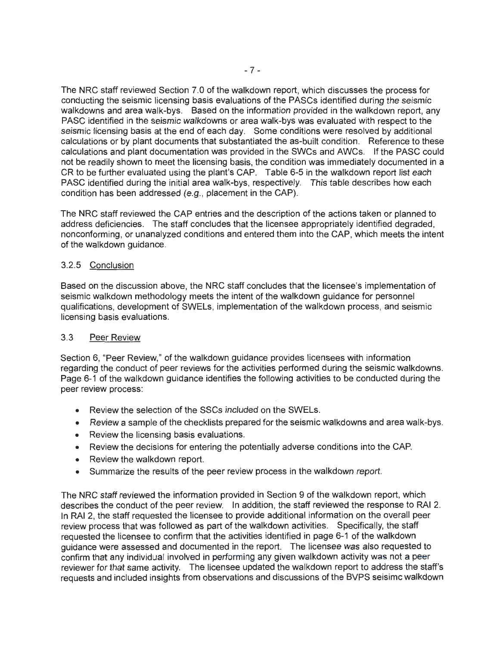The NRC staff reviewed Section 7.0 of the walkdown report, which discusses the process for conducting the seismic licensing basis evaluations of the PASCs identified during the seismic walkdowns and area walk-bys. Based on the information provided in the walkdown report, any PASC identified in the seismic walkdowns or area walk-bys was evaluated with respect to the seismic licensing basis at the end of each day. Some conditions were resolved by additional calculations or by plant documents that substantiated the as-built condition. Reference to these calculations and plant documentation was provided in the SWCs and AWCs. If the PASC could not be readily shown to meet the licensing basis, the condition was immediately documented in a CR to be further evaluated using the plant's CAP. Table 6-5 in the walkdown report list each PASC identified during the initial area walk-bys, respectively. This table describes how each condition has been addressed (e.g., placement in the CAP).

The NRC staff reviewed the CAP entries and the description of the actions taken or planned to address deficiencies. The staff concludes that the licensee appropriately identified degraded, nonconforming, or unanalyzed conditions and entered them into the CAP, which meets the intent of the walkdown guidance.

# 3.2.5 Conclusion

Based on the discussion above, the NRC staff concludes that the licensee's implementation of seismic walkdown methodology meets the intent of the walkdown guidance for personnel qualifications, development of SWELs, implementation of the walkdown process, and seismic licensing basis evaluations.

# 3.3 Peer Review

Section 6, "Peer Review," of the walkdown guidance provides licensees with information regarding the conduct of peer reviews for the activities performed during the seismic walkdowns. Page 6-1 of the walkdown guidance identifies the following activities to be conducted during the peer review process:

- Review the selection of the SSCs included on the SWELs.
- Review a sample of the checklists prepared for the seismic walkdowns and area walk-bys.
- Review the licensing basis evaluations.
- Review the decisions for entering the potentially adverse conditions into the CAP.
- Review the walkdown report.
- Summarize the results of the peer review process in the walkdown report.

The NRC staff reviewed the information provided in Section 9 of the walkdown report, which describes the conduct of the peer review. In addition, the staff reviewed the response to RAI 2. In RAI 2, the staff requested the licensee to provide additional information on the overall peer review process that was followed as part of the walkdown activities. Specifically, the staff requested the licensee to confirm that the activities identified in page 6-1 of the walkdown guidance were assessed and documented in the report. The licensee was also requested to confirm that any individual involved in performing any given wallkdown activity was not a peer reviewer for that same activity. The licensee updated the walkdown report to address the staff's requests and included insights from observations and discussions of the BVPS seisimc walkdown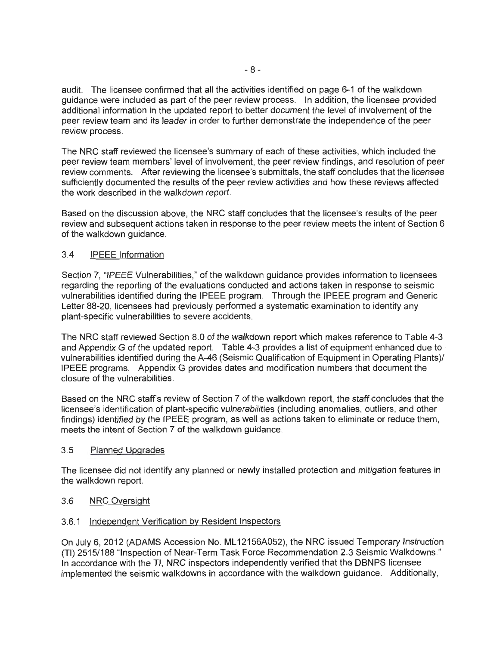audit. The licensee confirmed that all the activities identified on page 6-1 of the walkdown guidance were included as part of the peer review process. In addition, the licensee provided additional information in the updated report to better document the level of involvement of the peer review team and its leader in order to further demonstrate the independence of the peer review process.

The NRC staff reviewed the licensee's summary of each of these activities, which included the peer review team members' level of involvement, the peer review findings, and resolution of peer review comments. After reviewing the licensee's submittals, the staff concludes that the licensee sufficiently documented the results of the peer review activities and how these reviews affected the work described in the walkdown report.

Based on the discussion above, the NRC staff concludes that the licensee's results of the peer review and subsequent actions taken in response to the peer review meets the intent of Section 6 of the walkdown guidance.

# 3.4 IPEEE Information

Section 7, "IPEEE Vulnerabilities," of the walkdown guidance provides information to licensees regarding the reporting of the evaluations conducted and actions taken in response to seismic vulnerabilities identified during the IPEEE program . Through the IPEEE program and Generic Letter 88-20, licensees had previously performed a systematic examination to identify any plant-specific vulnerabilities to severe accidents.

The NRC staff reviewed Section 8.0 of the walkdown report which makes reference to Table 4-3 and Appendix G of the updated report. Table 4-3 provides a list of equipment enhanced due to vulnerabilities identified during the A-46 (Seismic Qualification of Equipment in Operating Plants)/ IPEEE programs. Appendix G provides dates and modification numbers that document the closure of the vulnerabilities.

Based on the NRC staff's review of Section 7 of the walkdown report, the staff concludes that the licensee's identification of plant-specific vulnerabilities (including anomalies, outliers, and other findings) identified by the IPEEE program, as well as actions taken to eliminate or reduce them, meets the intent of Section 7 of the walkdown guidance.

## 3.5 Planned Upgrades

The licensee did not identify any planned or newly installed protection and mitigation features in the walkdown report.

## 3.6 NRC Oversight

## 3.6.1 Independent Verification by Resident Inspectors

On July 6, 2012 (ADAMS Accession No. ML 12156A052), the NRC issued Temporary Instruction (TI) 2515/188 "Inspection of Near-Term Task Force Recommendation 2.3 Seismic Walkdowns." In accordance with the TI, NRC inspectors independently verified that the DBNPS licensee implemented the seismic walkdowns in accordance with the walkdown guidance. Additionally,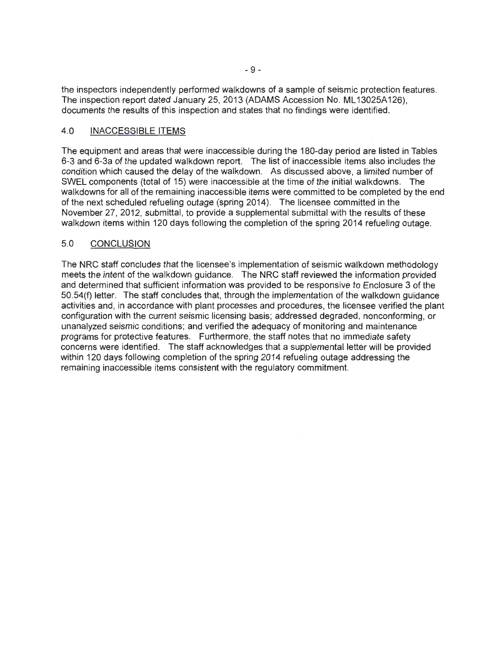the inspectors independently performed walkdowns of a sample of seismic protection features. The inspection report dated January 25, 2013 (ADAMS Accession No. ML 13025A 126), documents the results of this inspection and states that no findings were identified.

# 4.0 INACCESSIBLE ITEMS

The equipment and areas that were inaccessible during the 180-day period are listed in Tables 6-3 and 6-3a of the updated walkdown report. The list of inaccessible items also includes the condition which caused the delay of the walkdown. As discussed above, a limited number of SWEL components (total of 15) were inaccessible at the time of the initial walkdowns. The walkdowns for all of the remaining inaccessible items were committed to be completed by the end of the next scheduled refueling outage (spring 2014). The licensee committed in the November 27, 2012, submittal, to provide a supplemental submittal with the results of these walkdown items within 120 days following the completion of the spring 2014 refueling outage.

# 5.0 CONCLUSION

The NRC staff concludes that the licensee's implementation of seismic walkdown methodology meets the intent of the walkdown guidance. The NRC staff reviewed the information provided and determined that sufficient information was provided to be responsive to Enclosure 3 of the 50.54(f) letter. The staff concludes that, through the implementation of the walkdown guidance activities and, in accordance with plant processes and procedures, the licensee verified the plant configuration with the current seismic licensing basis; addressed degraded, nonconforming, or unanalyzed seismic conditions; and verified the adequacy of monitoring and maintenance programs for protective features. Furthermore, the staff notes that no immediate safety concerns were identified. The staff acknowledges that a supplemental letter will be provided within 120 days following completion of the spring 2014 refueling outage addressing the remaining inaccessible items consistent with the regulatory commitment.